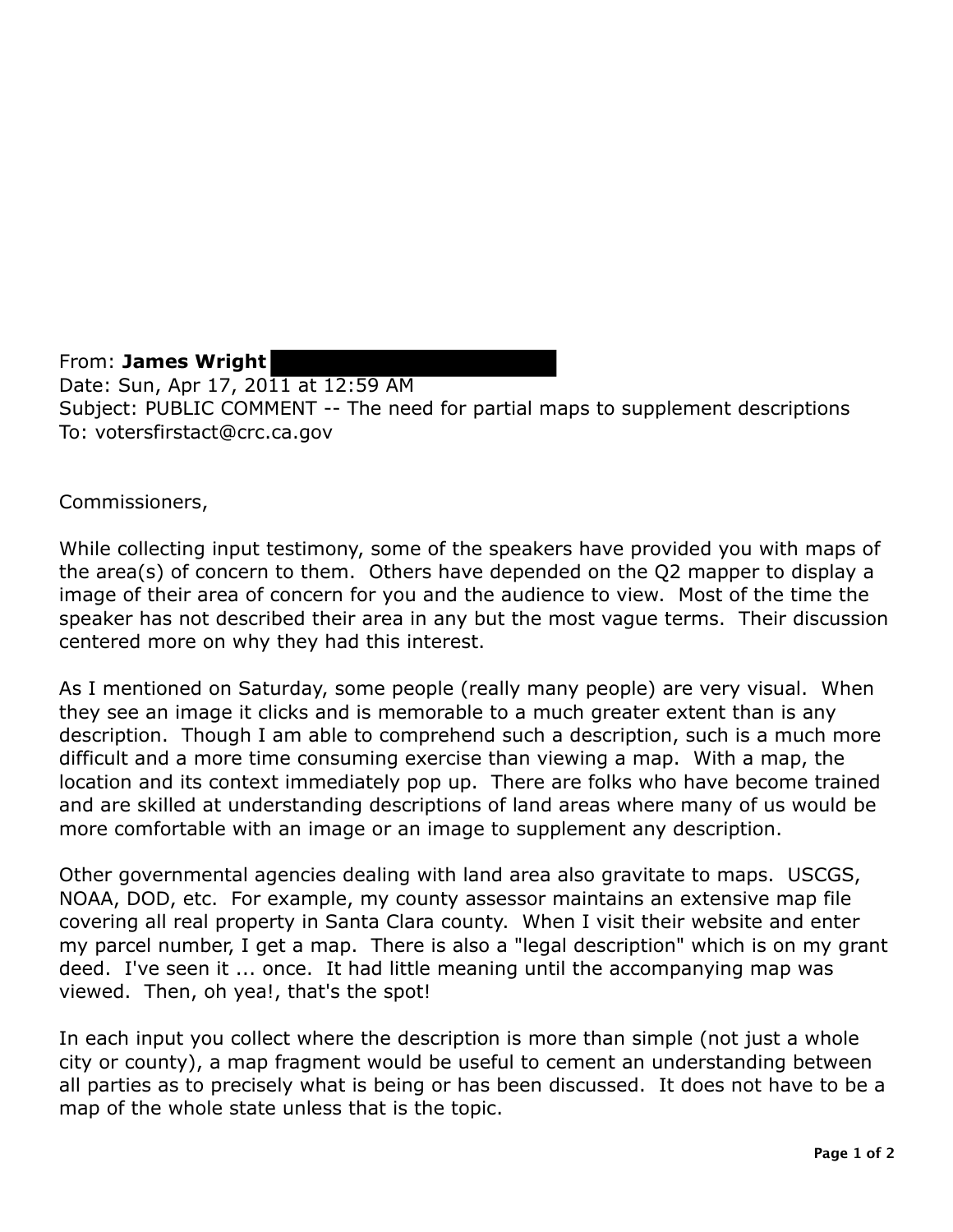From: **James Wright**  Date: Sun, Apr 17, 2011 at 12:59 AM Subject: PUBLIC COMMENT -- The need for partial maps to supplement descriptions To: votersfirstact@crc.ca.gov

Commissioners,

While collecting input testimony, some of the speakers have provided you with maps of the area(s) of concern to them. Others have depended on the Q2 mapper to display a image of their area of concern for you and the audience to view. Most of the time the speaker has not described their area in any but the most vague terms. Their discussion centered more on why they had this interest.

As I mentioned on Saturday, some people (really many people) are very visual. When they see an image it clicks and is memorable to a much greater extent than is any description. Though I am able to comprehend such a description, such is a much more difficult and a more time consuming exercise than viewing a map. With a map, the location and its context immediately pop up. There are folks who have become trained and are skilled at understanding descriptions of land areas where many of us would be more comfortable with an image or an image to supplement any description.

Other governmental agencies dealing with land area also gravitate to maps. USCGS, NOAA, DOD, etc. For example, my county assessor maintains an extensive map file covering all real property in Santa Clara county. When I visit their website and enter my parcel number, I get a map. There is also a "legal description" which is on my grant deed. I've seen it ... once. It had little meaning until the accompanying map was viewed. Then, oh yea!, that's the spot!

In each input you collect where the description is more than simple (not just a whole city or county), a map fragment would be useful to cement an understanding between all parties as to precisely what is being or has been discussed. It does not have to be a map of the whole state unless that is the topic.